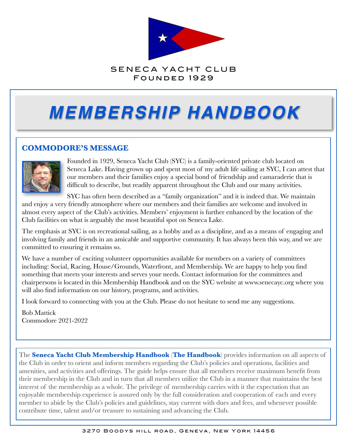

#### SENECA YACHT CLUB FOUNDED 1929

# *MEMBERSHIP HANDBOOK*

#### **COMMODORE'S MESSAGE**



Founded in 1929, Seneca Yacht Club (SYC) is a family-oriented private club located on Seneca Lake. Having grown up and spent most of my adult life sailing at SYC, I can attest that our members and their families enjoy a special bond of friendship and camaraderie that is difficult to describe, but readily apparent throughout the Club and our many activities.

SYC has often been described as a "family organization" and it is indeed that. We maintain and enjoy a very friendly atmosphere where our members and their families are welcome and involved in almost every aspect of the Club's activities. Members' enjoyment is further enhanced by the location of the Club facilities on what is arguably the most beautiful spot on Seneca Lake.

The emphasis at SYC is on recreational sailing, as a hobby and as a discipline, and as a means of engaging and involving family and friends in an amicable and supportive community. It has always been this way, and we are committed to ensuring it remains so.

We have a number of exciting volunteer opportunities available for members on a variety of committees including: Social, Racing, House/Grounds, Waterfront, and Membership. We are happy to help you find something that meets your interests and serves your needs. Contact information for the committees and chairpersons is located in this Membership Handbook and on the SYC website at www.senecayc.org where you will also find information on our history, programs, and activities.

I look forward to connecting with you at the Club. Please do not hesitate to send me any suggestions.

Bob Mattick Commodore 2021-2022

The **Seneca Yacht Club Membership Handbook** (**The Handbook**) provides information on all aspects of the Club in order to orient and inform members regarding the Club's policies and operations, facilities and amenities, and activities and offerings. The guide helps ensure that all members receive maximum benefit from their membership in the Club and in turn that all members utilize the Club in a manner that maintains the best interest of the membership as a whole. The privilege of membership carries with it the expectation that an enjoyable membership experience is assured only by the full consideration and cooperation of each and every member to abide by the Club's policies and guidelines, stay current with dues and fees, and whenever possible contribute time, talent and/or treasure to sustaining and advancing the Club.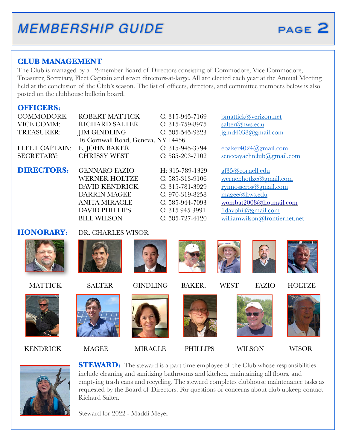#### **CLUB MANAGEMENT**

The Club is managed by a 12-member Board of Directors consisting of Commodore, Vice Commodore, Treasurer, Secretary, Fleet Captain and seven directors-at-large. All are elected each year at the Annual Meeting held at the conclusion of the Club's season. The list of officers, directors, and committee members below is also posted on the clubhouse bulletin board.

#### **OFFICERS:**

VICE COMM: RICHARD SALTER C: 315-759-8975 [salter@hws.edu](mailto:salter@hws.edu) TREASURER: JIM GINDLING C: 585-545-9323 [jgind4038@gmail.com](mailto:jgind4038@gmail.com) 16 Cornwall Road, Geneva, NY 14456

COMMODORE: ROBERT MATTICK C: 315-945-7169 [bmattick@verizon.net](mailto:bmattick@verizon.net)

FLEET CAPTAIN: E. JOHN BAKER C: 315-945-3794 [ebaker4024@gmail.com](mailto:ebaker4024@gmail.com) SECRETARY: CHRISSY WEST C: 585-203-7102 [senecayachtclub@gmail.com](mailto:senecayachtclub@gmail.com)

> DARRIN MAGEE C: 970-319-8258 [magee@hws.edu](mailto:magee@hws.edu) DAVID PHILLIPS C: 315 945 3991 Idayphil@gmail.com

**DIRECTORS:** GENNARO FAZIO H: 315-789-1329 [gf35@cornell.edu](mailto:gf35@cornell.edu) WERNER HOLTZE C: 585-313-9106 [werner.hotlze@gmail.com](mailto:werner.hotlze@gmail.com) DAVID KENDRICK C: 315-781-3929 [rynnosseros@gmail.com](mailto:rynnosseros@gmail.com) ANITA MIRACLE C: 585-944-7093 [wombat2008@hotmail.com](mailto:wombat2008@hotmail.com) BILL WILSON C: 585-727-4120 [williamwilson@frontiernet.net](mailto:williamwilson@frontiernet.net)

**HONORARY:** DR. CHARLES WISOR



KENDRICK MAGEE MIRACLE PHILLIPS WILSON WISOR







**STEWARD:** The steward is a part time employee of the Club whose responsibilities include cleaning and sanitizing bathrooms and kitchen, maintaining all floors, and emptying trash cans and recycling. The steward completes clubhouse maintenance tasks as requested by the Board of Directors. For questions or concerns about club upkeep contact Richard Salter.

Steward for 2022 - Maddi Meyer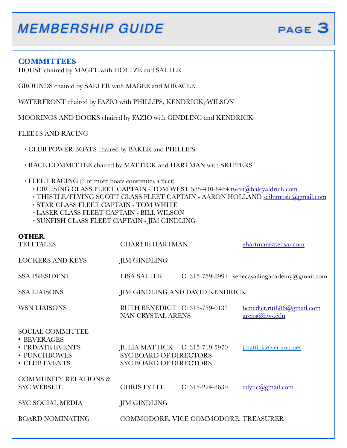#### **COMMITTEES**:

HOUSE chaired by MAGEE with HOLTZE and SALTER

GROUNDS chaired by SALTER with MAGEE and MIRACLE

WATERFRONT chaired by FAZIO with PHILLIPS, KENDRICK, WILSON

MOORINGS AND DOCKS chaired by FAZIO with GINDLING and KENDRICK

FLEETS AND RACING

• CLUB POWER BOATS chaired by BAKER and PHILLIPS

• RACE COMMITTEE chaired by MATTICK and HARTMAN with SKIPPERS

- FLEET RACING (3 or more boats constitutes a fleet)
	- CRUISING CLASS FLEET CAPTAIN TOM WEST 585-410-8464 [twest@haleyaldrich.com](mailto:twest@haleyaldrich.com)
	- THISTLE/FLYING SCOTT CLASS FLEET CAPTAIN AARON HOLLAND [sailnmusic@gmail.com](mailto:sailnmusic@gmail.com)
	- STAR CLASS FLEET CAPTAIN TOM WHITE
	- LASER CLASS FLEET CAPTAIN BILL WILSON
	- SUNFISH CLASS FLEET CAPTAIN JIM GINDLING

| $\mathbf{O}$ THER $\cdot$<br><b>TELLTALES</b>                                               | <b>CHARLIE HARTMAN</b>                                                                          |                   | ehartman@tensar.com                        |
|---------------------------------------------------------------------------------------------|-------------------------------------------------------------------------------------------------|-------------------|--------------------------------------------|
| <b>LOCKERS AND KEYS</b>                                                                     | <b>JIM GINDLING</b>                                                                             |                   |                                            |
| <b>SSA PRESIDENT</b>                                                                        | <b>LISA SALTER</b>                                                                              | $C: 315-759-8991$ | senecasailingacademy@gmail.com             |
| <b>SSA LIAISONS</b>                                                                         | JIM GINDLING AND DAVID KENDRICK                                                                 |                   |                                            |
| WSN LIAISONS                                                                                | RUTH BENEDICT C: 315-759-0133<br><b>NAN CRYSTAL ARENS</b>                                       |                   | benedict.ruth86@gmail.com<br>arens@hws.edu |
| <b>SOCIAL COMMITTEE</b><br>• BEVERAGES<br>• PRIVATE EVENTS<br>• PUNCHBOWLS<br>• CLUB EVENTS | JULIA MATTICK C: 315-719-5970<br><b>SYC BOARD OF DIRECTORS</b><br><b>SYC BOARD OF DIRECTORS</b> |                   | imattick@verizon.net                       |
| <b>COMMUNITY RELATIONS &amp;</b><br><b>SYC WEBSITE</b>                                      | <b>CHRIS LYTLE</b>                                                                              | C: 315-224-8639   | $ctlytle$ <i>(a)</i> gmail.com             |
| <b>SYC SOCIAL MEDIA</b>                                                                     | JIM GINDLING                                                                                    |                   |                                            |
| <b>BOARD NOMINATING</b>                                                                     | COMMODORE, VICE COMMODORE, TREASURER                                                            |                   |                                            |
|                                                                                             |                                                                                                 |                   |                                            |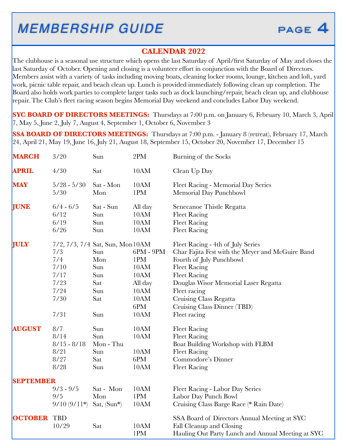

#### **CALENDAR 2022**

The clubhouse is a seasonal use structure which opens the last Saturday of April/first Saturday of May and closes the last Saturday of October. Opening and closing is a volunteer effort in conjunction with the Board of Directors. Members assist with a variety of tasks including moving boats, cleaning locker rooms, lounge, kitchen and loft, yard work, picnic table repair, and beach clean up. Lunch is provided immediately following clean up completion. The Board also holds work parties to complete larger tasks such as dock launching/repair, beach clean up, and clubhouse repair. The Club's fleet racing season begins Memorial Day weekend and concludes Labor Day weekend.

**SYC BOARD OF DIRECTORS MEETINGS:** Thursdays at 7:00 p.m. on January 6, February 10, March 3, April 7, May 5, June 2, July 7, August 4, September 1, October 6, November 3

**SSA BOARD OF DIRECTORS MEETINGS:** Thursdays at 7:00 p.m. - January 8 (retreat), February 17, March 24, April 21, May 19, June 16, July 21, August 18, September 15, October 20, November 17, December 15

| <b>MARCH</b>     | 3/20                                                       | Sun                                                                                                      | 2PM                                                                          | Burning of the Socks                                                                                                                                                                                                                                                                             |
|------------------|------------------------------------------------------------|----------------------------------------------------------------------------------------------------------|------------------------------------------------------------------------------|--------------------------------------------------------------------------------------------------------------------------------------------------------------------------------------------------------------------------------------------------------------------------------------------------|
| <b>APRIL</b>     | 4/30                                                       | Sat                                                                                                      | 10AM                                                                         | Clean Up Day                                                                                                                                                                                                                                                                                     |
| <b>MAY</b>       | $5/28 - 5/30$<br>5/30                                      | Sat - Mon<br>Mon                                                                                         | 10AM<br>1PM                                                                  | Fleet Racing - Memorial Day Series<br>Memorial Day Punchbowl                                                                                                                                                                                                                                     |
| <b>JUNE</b>      | $6/4 - 6/5$<br>6/12<br>6/19<br>6/26                        | Sat - Sun<br>Sun<br>Sun<br>Sun                                                                           | All day<br>10AM<br>10AM<br>10AM                                              | Senecanoe Thistle Regatta<br><b>Fleet Racing</b><br><b>Fleet Racing</b><br><b>Fleet Racing</b>                                                                                                                                                                                                   |
| <b>JULY</b>      | 7/3<br>7/4<br>7/10<br>7/17<br>7/23<br>7/24<br>7/30<br>7/31 | 7/2, 7/3, 7/4 Sat, Sun, Mon10AM<br>Sun<br>Mon<br>Sun<br>Sun<br>Sat<br>Sun<br>Sat<br>$\operatorname{Sun}$ | $6PM - 9PM$<br>1PM<br>10AM<br>10AM<br>All day<br>10AM<br>10AM<br>6PM<br>10AM | Fleet Racing - 4th of July Series<br>Char Fajita Fest with the Meyer and McGuire Band<br>Fourth of July Punchbowl<br><b>Fleet Racing</b><br><b>Fleet Racing</b><br>Douglas Wisor Memorial Laser Regatta<br>Fleet racing<br>Cruising Class Regatta<br>Cruising Class Dinner (TBD)<br>Fleet racing |
| <b>AUGUST</b>    | 8/7<br>8/14<br>$8/15 - 8/18$<br>8/21<br>8/27<br>8/28       | Sun<br>Sun<br>Mon - Thu<br>Sun<br>Sat<br>Sun                                                             | 10AM<br>10AM<br>10AM<br>6PM<br>10AM                                          | <b>Fleet Racing</b><br><b>Fleet Racing</b><br>Boat Building Workshop with FLBM<br><b>Fleet Racing</b><br>Commodore's Dinner<br><b>Fleet Racing</b>                                                                                                                                               |
| <b>SEPTEMBER</b> | $9/3 - 9/5$<br>9/5<br>$9/10(9/11*)$                        | Sat - Mon<br>Mon<br>Sat, (Sun*)                                                                          | 10AM<br>1PM<br>10AM                                                          | Fleet Racing - Labor Day Series<br>Labor Day Punch Bowl<br>Cruising Class Barge Race (* Rain Date)                                                                                                                                                                                               |
| <b>OCTOBER</b>   | <b>TBD</b><br>10/29                                        | Sat                                                                                                      | 10AM<br>1PM                                                                  | SSA Board of Directors Annual Meeting at SYC<br>Fall Cleanup and Closing<br>Hauling Out Party Lunch and Annual Meeting at SYC                                                                                                                                                                    |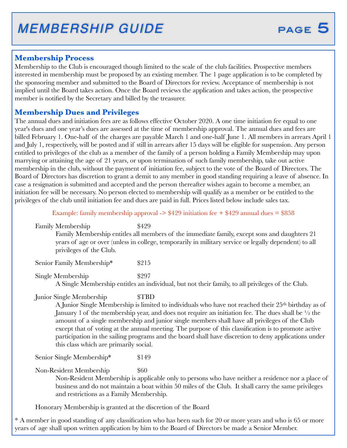#### **Membership Process**

Membership to the Club is encouraged though limited to the scale of the club facilities. Prospective members interested in membership must be proposed by an existing member. The 1 page application is to be completed by the sponsoring member and submitted to the Board of Directors for review. Acceptance of membership is not implied until the Board takes action. Once the Board reviews the application and takes action, the prospective member is notified by the Secretary and billed by the treasurer.

#### **Membership Dues and Privileges**

The annual dues and initiation fees are as follows effective October 2020. A one time initiation fee equal to one year's dues and one year's dues are assessed at the time of membership approval. The annual dues and fees are billed February 1. One-half of the charges are payable March 1 and one-half June 1. All members in arrears April 1 and July 1, respectively, will be posted and if still in arrears after 15 days will be eligible for suspension. Any person entitled to privileges of the club as a member of the family of a person holding a Family Membership may upon marrying or attaining the age of 21 years, or upon termination of such family membership, take out active membership in the club, without the payment of initiation fee, subject to the vote of the Board of Directors. The Board of Directors has discretion to grant a demit to any member in good standing requiring a leave of absence. In case a resignation is submitted and accepted and the person thereafter wishes again to become a member, an initiation fee will be necessary. No person elected to membership will qualify as a member or be entitled to the privileges of the club until initiation fee and dues are paid in full. Prices listed below include sales tax.

Example: family membership approval  $\geq$  \$429 initiation fee  $+$  \$429 annual dues = \$858

Family Membership  $$429$ Family Membership entitles all members of the immediate family, except sons and daughters 21 years of age or over (unless in college, temporarily in military service or legally dependent) to all privileges of the Club.

Senior Family Membership\*  $$215$ 

Single Membership  $$297$ 

 A Single Membership entitles an individual, but not their family, to all privileges of the Club.

Junior Single Membership  $\text{STBD}$ 

A Junior Single Membership is limited to individuals who have not reached their 25th birthday as of January 1 of the membership year, and does not require an initiation fee. The dues shall be ½ the amount of a single membership and junior single members shall have all privileges of the Club except that of voting at the annual meeting. The purpose of this classification is to promote active participation in the sailing programs and the board shall have discretion to deny applications under this class which are primarily social.

Senior Single Membership\* \$149

Non-Resident Membership  $$60$ 

Non-Resident Membership is applicable only to persons who have neither a residence nor a place of business and do not maintain a boat within 50 miles of the Club. It shall carry the same privileges and restrictions as a Family Membership.

Honorary Membership is granted at the discretion of the Board

\* A member in good standing of any classification who has been such for 20 or more years and who is 65 or more years of age shall upon written application by him to the Board of Directors be made a Senior Member.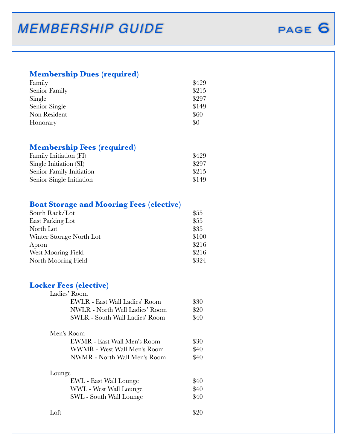### **Membership Dues (required)**

| Family        | \$429 |
|---------------|-------|
| Senior Family | \$215 |
| Single        | \$297 |
| Senior Single | \$149 |
| Non Resident  | \$60  |
| Honorary      | \$0   |

#### **Membership Fees (required)**

| Family Initiation (FI)   | \$429 |
|--------------------------|-------|
| Single Initiation (SI)   | \$297 |
| Senior Family Initiation | \$215 |
| Senior Single Initiation | \$149 |

#### **Boat Storage and Mooring Fees (elective)**

| South Rack/Lot           | \$55  |
|--------------------------|-------|
| East Parking Lot         | \$55  |
| North Lot                | \$35  |
| Winter Storage North Lot | \$100 |
| Apron                    | \$216 |
| West Mooring Field       | \$216 |
| North Mooring Field      | \$324 |
|                          |       |

#### **Locker Fees (elective)**

| Ladies' Room                          |      |
|---------------------------------------|------|
| EWLR - East Wall Ladies' Room         | \$30 |
| <b>NWLR</b> - North Wall Ladies' Room | \$20 |
| <b>SWLR - South Wall Ladies' Room</b> | \$40 |
| Men's Room                            |      |
| EWMR - East Wall Men's Room           | \$30 |
| <b>WWMR</b> - West Wall Men's Room    | \$40 |
| NWMR - North Wall Men's Room          | \$40 |
| Lounge                                |      |
| <b>EWL</b> - East Wall Lounge         | \$40 |
| WWL - West Wall Lounge                | \$40 |
| SWL - South Wall Lounge               | \$40 |
| Loft                                  | \$20 |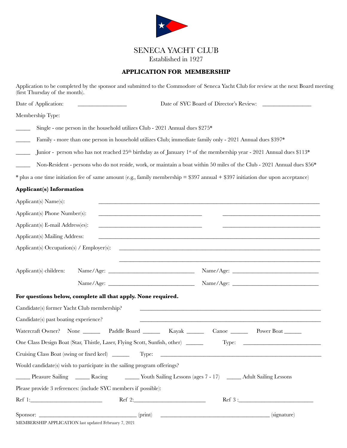

### SENECA YACHT CLUB

Established in 1927

#### **APPLICATION FOR MEMBERSHIP**

Application to be completed by the sponsor and submitted to the Commodore of Seneca Yacht Club for review at the next Board meeting (first Thursday of the month).

Date of Application: \_\_\_\_\_\_\_\_\_\_\_\_\_\_\_\_\_ Date of SYC Board of Director's Review: \_\_\_\_\_\_\_\_\_\_\_\_\_\_\_\_\_

Membership Type:

Single - one person in the household utilizes Club - 2021 Annual dues  $$275*$ 

\_\_\_\_\_ Family - more than one person in household utilizes Club; immediate family only - 2021 Annual dues \$397\*

\_\_\_\_\_ Junior - person who has not reached 25th birthday as of January 1st of the membership year - 2021 Annual dues \$113\*

Non-Resident - persons who do not reside, work, or maintain a boat within 50 miles of the Club - 2021 Annual dues \$56\*

\* plus a one time initiation fee of same amount (e.g., family membership = \$397 annual + \$397 initiation due upon acceptance)

#### **Applicant(s) Information**

| Applicant(s) Name(s):                                |                                                                                                                                                                                                                                |                                                                                                           |
|------------------------------------------------------|--------------------------------------------------------------------------------------------------------------------------------------------------------------------------------------------------------------------------------|-----------------------------------------------------------------------------------------------------------|
| Applicant(s) Phone Number(s):                        | <u> 1989 - Johann Stein, marwolaethau a bhann an t-Amhain Aonaichte ann an t-Amhain Aonaichte ann an t-Amhain Aon</u>                                                                                                          |                                                                                                           |
| Applicant(s) E-mail Address(es):                     | <u> 1989 - Jan Samuel Barbara, margaret eta idazlea (h. 1989).</u>                                                                                                                                                             |                                                                                                           |
| Applicant(s) Mailing Address:                        |                                                                                                                                                                                                                                |                                                                                                           |
|                                                      |                                                                                                                                                                                                                                |                                                                                                           |
|                                                      |                                                                                                                                                                                                                                |                                                                                                           |
| Applicant(s) children:                               |                                                                                                                                                                                                                                |                                                                                                           |
|                                                      |                                                                                                                                                                                                                                |                                                                                                           |
|                                                      | For questions below, complete all that apply. None required.                                                                                                                                                                   |                                                                                                           |
| Candidate(s) former Yacht Club membership?           |                                                                                                                                                                                                                                |                                                                                                           |
| Candidate(s) past boating experience?                |                                                                                                                                                                                                                                | <u> 1989 - Johann Stoff, amerikansk politiker (d. 1989)</u>                                               |
|                                                      |                                                                                                                                                                                                                                | Watercraft Owner? None _______ Paddle Board _______ Kayak _______ Canoe ______ Power Boat ______          |
|                                                      | One Class Design Boat (Star, Thistle, Laser, Flying Scott, Sunfish, other) _____                                                                                                                                               | Type: $\qquad \qquad$                                                                                     |
|                                                      |                                                                                                                                                                                                                                |                                                                                                           |
|                                                      | Would candidate(s) wish to participate in the sailing program offerings?                                                                                                                                                       |                                                                                                           |
|                                                      |                                                                                                                                                                                                                                | Pleasure Sailing _______ Racing ________ Youth Sailing Lessons (ages 7 - 17) ______ Adult Sailing Lessons |
|                                                      | Please provide 3 references: (include SYC members if possible):                                                                                                                                                                |                                                                                                           |
|                                                      | Ref 1: Ref 2: Ref 2: Ref 2: Ref 2: Ref 2: Ref 2: Ref 2: Ref 2: Ref 2: Ref 2: Ref 2: Ref 2: Ref 2: Ref 2: Ref 2: Ref 2: Ref 2: Ref 2: Ref 2: Ref 2: Ref 2: Ref 2: Ref 2: Ref 2: Ref 2: Ref 2: Ref 2: Ref 2: Ref 2: Ref 2: Ref 2 | Ref 3:                                                                                                    |
| MEMBERSHIP APPLICATION last updated February 7, 2021 |                                                                                                                                                                                                                                | Sponsor: <u>____________________________</u> (print) _________________________________(signature)         |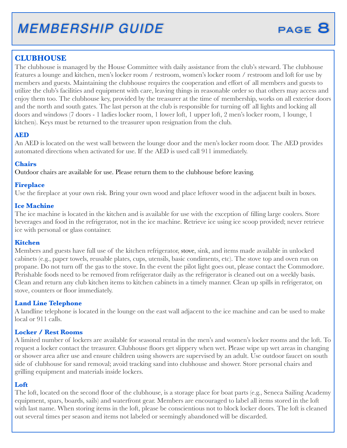#### **CLUBHOUSE**

The clubhouse is managed by the House Committee with daily assistance from the club's steward. The clubhouse features a lounge and kitchen, men's locker room / restroom, women's locker room / restroom and loft for use by members and guests. Maintaining the clubhouse requires the cooperation and effort of all members and guests to utilize the club's facilities and equipment with care, leaving things in reasonable order so that others may access and enjoy them too. The clubhouse key, provided by the treasurer at the time of membership, works on all exterior doors and the north and south gates. The last person at the club is responsible for turning off all lights and locking all doors and windows (7 doors - 1 ladies locker room, 1 lower loft, 1 upper loft, 2 men's locker room, 1 lounge, 1 kitchen). Keys must be returned to the treasurer upon resignation from the club.

#### **AED**

An AED is located on the west wall between the lounge door and the men's locker room door. The AED provides automated directions when activated for use. If the AED is used call 911 immediately.

#### **Chairs**

Outdoor chairs are available for use. Please return them to the clubhouse before leaving.

#### **Fireplace**

Use the fireplace at your own risk. Bring your own wood and place leftover wood in the adjacent built in boxes.

#### **Ice Machine**

The ice machine is located in the kitchen and is available for use with the exception of filling large coolers. Store beverages and food in the refrigerator, not in the ice machine. Retrieve ice using ice scoop provided; never retrieve ice with personal or glass container.

#### **Kitchen**

Members and guests have full use of the kitchen refrigerator, stove, sink, and items made available in unlocked cabinets (e.g., paper towels, reusable plates, cups, utensils, basic condiments, etc). The stove top and oven run on propane. Do not turn off the gas to the stove. In the event the pilot light goes out, please contact the Commodore. Perishable foods need to be removed from refrigerator daily as the refrigerator is cleaned out on a weekly basis. Clean and return any club kitchen items to kitchen cabinets in a timely manner. Clean up spills in refrigerator, on stove, counters or floor immediately.

#### **Land Line Telephone**

A landline telephone is located in the lounge on the east wall adjacent to the ice machine and can be used to make local or 911 calls.

#### **Locker / Rest Rooms**

A limited number of lockers are available for seasonal rental in the men's and women's locker rooms and the loft. To request a locker contact the treasurer. Clubhouse floors get slippery when wet. Please wipe up wet areas in changing or shower area after use and ensure children using showers are supervised by an adult. Use outdoor faucet on south side of clubhouse for sand removal; avoid tracking sand into clubhouse and shower. Store personal chairs and grilling equipment and materials inside lockers.

#### **Loft**

The loft, located on the second floor of the clubhouse, is a storage place for boat parts (e.g., Seneca Sailing Academy equipment, spars, boards, sails) and waterfront gear. Members are encouraged to label all items stored in the loft with last name. When storing items in the loft, please be conscientious not to block locker doors. The loft is cleaned out several times per season and items not labeled or seemingly abandoned will be discarded.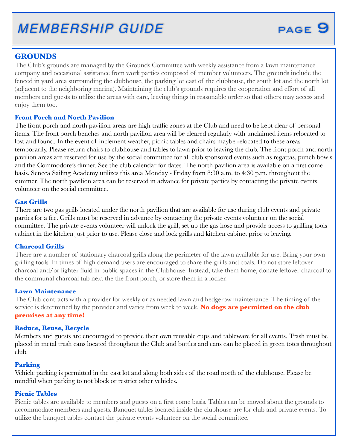#### **GROUNDS**

The Club's grounds are managed by the Grounds Committee with weekly assistance from a lawn maintenance company and occasional assistance from work parties composed of member volunteers. The grounds include the fenced in yard area surrounding the clubhouse, the parking lot east of the clubhouse, the south lot and the north lot (adjacent to the neighboring marina). Maintaining the club's grounds requires the cooperation and effort of all members and guests to utilize the areas with care, leaving things in reasonable order so that others may access and enjoy them too.

#### **Front Porch and North Pavilion**

The front porch and north pavilion areas are high traffic zones at the Club and need to be kept clear of personal items. The front porch benches and north pavilion area will be cleared regularly with unclaimed items relocated to lost and found. In the event of inclement weather, picnic tables and chairs maybe relocated to these areas temporarily. Please return chairs to clubhouse and tables to lawn prior to leaving the club. The front porch and north pavilion areas are reserved for use by the social committee for all club sponsored events such as regattas, punch bowls and the Commodore's dinner. See the club calendar for dates. The north pavilion area is available on a first come basis. Seneca Sailing Academy utilizes this area Monday - Friday from 8:30 a.m. to 4:30 p.m. throughout the summer. The north pavilion area can be reserved in advance for private parties by contacting the private events volunteer on the social committee.

#### **Gas Grills**

There are two gas grills located under the north pavilion that are available for use during club events and private parties for a fee. Grills must be reserved in advance by contacting the private events volunteer on the social committee. The private events volunteer will unlock the grill, set up the gas hose and provide access to grilling tools cabinet in the kitchen just prior to use. Please close and lock grills and kitchen cabinet prior to leaving.

#### **Charcoal Grills**

There are a number of stationary charcoal grills along the perimeter of the lawn available for use. Bring your own grilling tools. In times of high demand users are encouraged to share the grills and coals. Do not store leftover charcoal and/or lighter fluid in public spaces in the Clubhouse. Instead, take them home, donate leftover charcoal to the communal charcoal tub next the the front porch, or store them in a locker.

#### **Lawn Maintenance**

The Club contracts with a provider for weekly or as needed lawn and hedgerow maintenance. The timing of the service is determined by the provider and varies from week to week. **No dogs are permitted on the club premises at any time!**

#### **Reduce, Reuse, Recycle**

Members and guests are encouraged to provide their own reusable cups and tableware for all events. Trash must be placed in metal trash cans located throughout the Club and bottles and cans can be placed in green totes throughout club.

#### **Parking**

Vehicle parking is permitted in the east lot and along both sides of the road north of the clubhouse. Please be mindful when parking to not block or restrict other vehicles.

#### **Picnic Tables**

Picnic tables are available to members and guests on a first come basis. Tables can be moved about the grounds to accommodate members and guests. Banquet tables located inside the clubhouse are for club and private events. To utilize the banquet tables contact the private events volunteer on the social committee.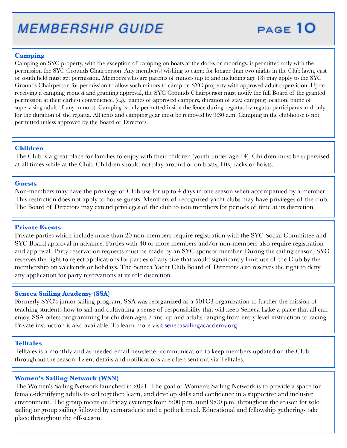#### **Camping**

Camping on SYC property, with the exception of camping on boats at the docks or moorings, is permitted only with the permission the SYC Grounds Chairperson. Any member(s) wishing to camp for longer than two nights in the Club lawn, east or south field must get permission. Members who are parents of minors (up to and including age 18) may apply to the SYC Grounds Chairperson for permission to allow such minors to camp on SYC property with approved adult supervision. Upon receiving a camping request and granting approval, the SYC Grounds Chairperson must notify the full Board of the granted permission at their earliest convenience. (e.g., names of approved campers, duration of stay, camping location, name of supervising adult of any minors). Camping is only permitted inside the fence during regattas by regatta participants and only for the duration of the regatta. All tents and camping gear must be removed by 9:30 a.m. Camping in the clubhouse is not permitted unless approved by the Board of Directors.

#### **Children**

The Club is a great place for families to enjoy with their children (youth under age 14). Children must be supervised at all times while at the Club. Children should not play around or on boats, lifts, racks or hoists.

#### **Guests**

Non-members may have the privilege of Club use for up to 4 days in one season when accompanied by a member. This restriction does not apply to house guests. Members of recognized yacht clubs may have privileges of the club. The Board of Directors may extend privileges of the club to non members for periods of time at its discretion.

#### **Private Events**

Private parties which include more than 20 non-members require registration with the SYC Social Committee and SYC Board approval in advance. Parties with 40 or more members and/or non-members also require registration and approval. Party reservation requests must be made by an SYC sponsor member. During the sailing season, SYC reserves the right to reject applications for parties of any size that would significantly limit use of the Club by the membership on weekends or holidays. The Seneca Yacht Club Board of Directors also reserves the right to deny any application for party reservations at its sole discretion.

#### **Seneca Sailing Academy (SSA)**

Formerly SYC's junior sailing program, SSA was reorganized as a 501C3 organization to further the mission of teaching students how to sail and cultivating a sense of responsibility that will keep Seneca Lake a place that all can enjoy. SSA offers programming for children ages 7 and up and adults ranging from entry level instruction to racing. Private instruction is also available. To learn more visit [senecasailingacacdemy.org](http://senecasailingacacdemy.org)

#### **Telltales**

Telltales is a monthly and as needed email newsletter communication to keep members updated on the Club throughout the season. Event details and notifications are often sent out via Telltales.

#### **Women's Sailing Network (WSN)**

The Women's Sailing Network launched in 2021. The goal of Women's Sailing Network is to provide a space for female-identifying adults to sail together, learn, and develop skills and confidence in a supportive and inclusive environment. The group meets on Friday evenings from 5:00 p.m. until 9:00 p.m. throughout the season for solo sailing or group sailing followed by camaraderie and a potluck meal. Educational and fellowship gatherings take place throughout the off-season.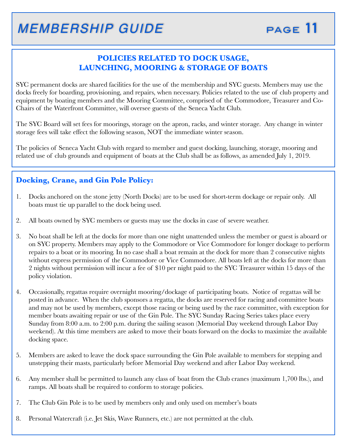#### **POLICIES RELATED TO DOCK USAGE, LAUNCHING, MOORING & STORAGE OF BOATS**

SYC permanent docks are shared facilities for the use of the membership and SYC guests. Members may use the docks freely for boarding, provisioning, and repairs, when necessary. Policies related to the use of club property and equipment by boating members and the Mooring Committee, comprised of the Commodore, Treasurer and Co-Chairs of the Waterfront Committee, will oversee guests of the Seneca Yacht Club.

The SYC Board will set fees for moorings, storage on the apron, racks, and winter storage. Any change in winter storage fees will take effect the following season, NOT the immediate winter season.

The policies of Seneca Yacht Club with regard to member and guest docking, launching, storage, mooring and related use of club grounds and equipment of boats at the Club shall be as follows, as amended July 1, 2019.

#### **Docking, Crane, and Gin Pole Policy:**

- 1. Docks anchored on the stone jetty (North Docks) are to be used for short-term dockage or repair only. All boats must tie up parallel to the dock being used.
- 2. All boats owned by SYC members or guests may use the docks in case of severe weather.
- 3. No boat shall be left at the docks for more than one night unattended unless the member or guest is aboard or on SYC property. Members may apply to the Commodore or Vice Commodore for longer dockage to perform repairs to a boat or its mooring. In no case shall a boat remain at the dock for more than 2 consecutive nights without express permission of the Commodore or Vice Commodore. All boats left at the docks for more than 2 nights without permission will incur a fee of \$10 per night paid to the SYC Treasurer within 15 days of the policy violation.
- 4. Occasionally, regattas require overnight mooring/dockage of participating boats. Notice of regattas will be posted in advance. When the club sponsors a regatta, the docks are reserved for racing and committee boats and may not be used by members, except those racing or being used by the race committee, with exception for member boats awaiting repair or use of the Gin Pole. The SYC Sunday Racing Series takes place every Sunday from 8:00 a.m. to 2:00 p.m. during the sailing season (Memorial Day weekend through Labor Day weekend). At this time members are asked to move their boats forward on the docks to maximize the available docking space.
- 5. Members are asked to leave the dock space surrounding the Gin Pole available to members for stepping and unstepping their masts, particularly before Memorial Day weekend and after Labor Day weekend.
- 6. Any member shall be permitted to launch any class of boat from the Club cranes (maximum 1,700 lbs.), and ramps. All boats shall be required to conform to storage policies.
- 7. The Club Gin Pole is to be used by members only and only used on member's boats
- 8. Personal Watercraft (i.e. Jet Skis, Wave Runners, etc.) are not permitted at the club.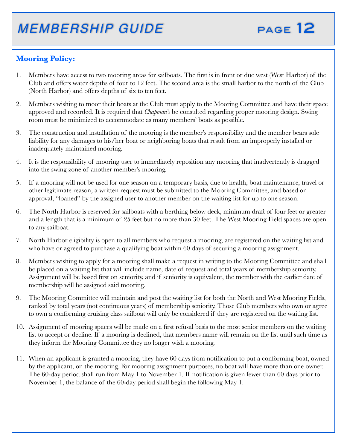

### **Mooring Policy:**

- 1. Members have access to two mooring areas for sailboats. The first is in front or due west (West Harbor) of the Club and offers water depths of four to 12 feet. The second area is the small harbor to the north of the Club (North Harbor) and offers depths of six to ten feet.
- 2. Members wishing to moor their boats at the Club must apply to the Mooring Committee and have their space approved and recorded. It is required that *Chapman's* be consulted regarding proper mooring design. Swing room must be minimized to accommodate as many members' boats as possible.
- 3. The construction and installation of the mooring is the member's responsibility and the member bears sole liability for any damages to his/her boat or neighboring boats that result from an improperly installed or inadequately maintained mooring.
- 4. It is the responsibility of mooring user to immediately reposition any mooring that inadvertently is dragged into the swing zone of another member's mooring.
- 5. If a mooring will not be used for one season on a temporary basis, due to health, boat maintenance, travel or other legitimate reason, a written request must be submitted to the Mooring Committee, and based on approval, "loaned" by the assigned user to another member on the waiting list for up to one season.
- 6. The North Harbor is reserved for sailboats with a berthing below deck, minimum draft of four feet or greater and a length that is a minimum of 25 feet but no more than 30 feet. The West Mooring Field spaces are open to any sailboat.
- 7. North Harbor eligibility is open to all members who request a mooring, are registered on the waiting list and who have or agreed to purchase a qualifying boat within 60 days of securing a mooring assignment.
- 8. Members wishing to apply for a mooring shall make a request in writing to the Mooring Committee and shall be placed on a waiting list that will include name, date of request and total years of membership seniority. Assignment will be based first on seniority, and if seniority is equivalent, the member with the earlier date of membership will be assigned said mooring.
- 9. The Mooring Committee will maintain and post the waiting list for both the North and West Mooring Fields, ranked by total years (not continuous years) of membership seniority. Those Club members who own or agree to own a conforming cruising class sailboat will only be considered if they are registered on the waiting list.
- 10. Assignment of mooring spaces will be made on a first refusal basis to the most senior members on the waiting list to accept or decline. If a mooring is declined, that members name will remain on the list until such time as they inform the Mooring Committee they no longer wish a mooring.
- 11. When an applicant is granted a mooring, they have 60 days from notification to put a conforming boat, owned by the applicant, on the mooring. For mooring assignment purposes, no boat will have more than one owner. The 60-day period shall run from May 1 to November 1. If notification is given fewer than 60 days prior to November 1, the balance of the 60-day period shall begin the following May 1.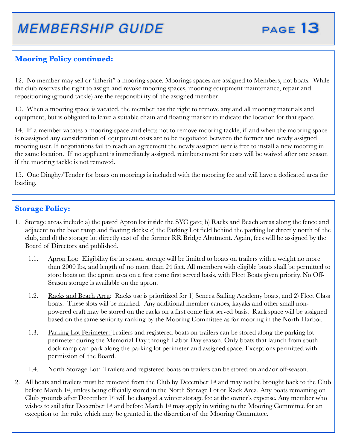### **Mooring Policy continued:**

12. No member may sell or 'inherit" a mooring space. Moorings spaces are assigned to Members, not boats. While the club reserves the right to assign and revoke mooring spaces, mooring equipment maintenance, repair and repositioning (ground tackle) are the responsibility of the assigned member.

13. When a mooring space is vacated, the member has the right to remove any and all mooring materials and equipment, but is obligated to leave a suitable chain and floating marker to indicate the location for that space.

14. If a member vacates a mooring space and elects not to remove mooring tackle, if and when the mooring space is reassigned any consideration of equipment costs are to be negotiated between the former and newly assigned mooring user. If negotiations fail to reach an agreement the newly assigned user is free to install a new mooring in the same location. If no applicant is immediately assigned, reimbursement for costs will be waived after one season if the mooring tackle is not removed.

15. One Dinghy/Tender for boats on moorings is included with the mooring fee and will have a dedicated area for loading.

#### **Storage Policy:**

- 1. Storage areas include a) the paved Apron lot inside the SYC gate; b) Racks and Beach areas along the fence and adjacent to the boat ramp and floating docks; c) the Parking Lot field behind the parking lot directly north of the club, and d) the storage lot directly east of the former RR Bridge Abutment. Again, fees will be assigned by the Board of Directors and published.
	- 1.1. Apron Lot: Eligibility for in season storage will be limited to boats on trailers with a weight no more than 2000 lbs, and length of no more than 24 feet. All members with eligible boats shall be permitted to store boats on the apron area on a first come first served basis, with Fleet Boats given priority. No Off-Season storage is available on the apron.
	- 1.2. Racks and Beach Area: Racks use is prioritized for 1) Seneca Sailing Academy boats, and 2) Fleet Class boats. These slots will be marked. Any additional member canoes, kayaks and other small nonpowered craft may be stored on the racks on a first come first served basis. Rack space will be assigned based on the same seniority ranking by the Mooring Committee as for mooring in the North Harbor.
	- 1.3. Parking Lot Perimeter: Trailers and registered boats on trailers can be stored along the parking lot perimeter during the Memorial Day through Labor Day season. Only boats that launch from south dock ramp can park along the parking lot perimeter and assigned space. Exceptions permitted with permission of the Board.
	- 1.4. North Storage Lot: Trailers and registered boats on trailers can be stored on and/or off-season.
- 2. All boats and trailers must be removed from the Club by December 1st and may not be brought back to the Club before March 1st, unless being officially stored in the North Storage Lot or Rack Area. Any boats remaining on Club grounds after December 1st will be charged a winter storage fee at the owner's expense. Any member who wishes to sail after December 1<sup>st</sup> and before March 1<sup>st</sup> may apply in writing to the Mooring Committee for an exception to the rule, which may be granted in the discretion of the Mooring Committee.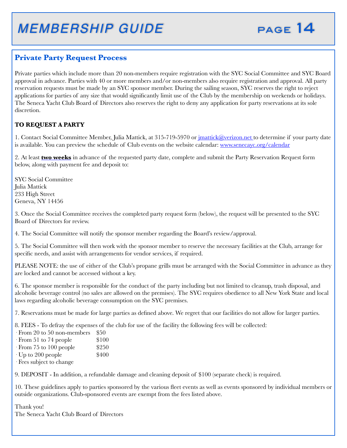

#### **Private Party Request Process**

Private parties which include more than 20 non-members require registration with the SYC Social Committee and SYC Board approval in advance. Parties with 40 or more members and/or non-members also require registration and approval. All party reservation requests must be made by an SYC sponsor member. During the sailing season, SYC reserves the right to reject applications for parties of any size that would significantly limit use of the Club by the membership on weekends or holidays. The Seneca Yacht Club Board of Directors also reserves the right to deny any application for party reservations at its sole discretion.

#### **TO REQUEST A PARTY**

1. Contact Social Committee Member, Julia Mattick, at 315-719-5970 or *jmattick@verizon.net* to determine if your party date is available. You can preview the schedule of Club events on the website calendar: www.senecayc.org/calendar

2. At least **two weeks** in advance of the requested party date, complete and submit the Party Reservation Request form below, along with payment fee and deposit to:

SYC Social Committee Julia Mattick 233 High Street Geneva, NY 14456

3. Once the Social Committee receives the completed party request form (below), the request will be presented to the SYC Board of Directors for review.

4. The Social Committee will notify the sponsor member regarding the Board's review/approval.

5. The Social Committee will then work with the sponsor member to reserve the necessary facilities at the Club, arrange for specific needs, and assist with arrangements for vendor services, if required.

PLEASE NOTE: the use of either of the Club's propane grills must be arranged with the Social Committee in advance as they are locked and cannot be accessed without a key.

6. The sponsor member is responsible for the conduct of the party including but not limited to cleanup, trash disposal, and alcoholic beverage control (no sales are allowed on the premises). The SYC requires obedience to all New York State and local laws regarding alcoholic beverage consumption on the SYC premises.

7. Reservations must be made for large parties as defined above. We regret that our facilities do not allow for larger parties.

8. FEES - To defray the expenses of the club for use of the facility the following fees will be collected:

- $\cdot$  From 20 to 50 non-members  $$50$
- $\cdot$  From 51 to 74 people  $\$100$
- $\cdot$  From 75 to 100 people  $$250$
- $\cdot$  Up to 200 people  $$400$
- · Fees subject to change

9. DEPOSIT - In addition, a refundable damage and cleaning deposit of \$100 (separate check) is required.

10. These guidelines apply to parties sponsored by the various fleet events as well as events sponsored by individual members or outside organizations. Club-sponsored events are exempt from the fees listed above.

Thank you! The Seneca Yacht Club Board of Directors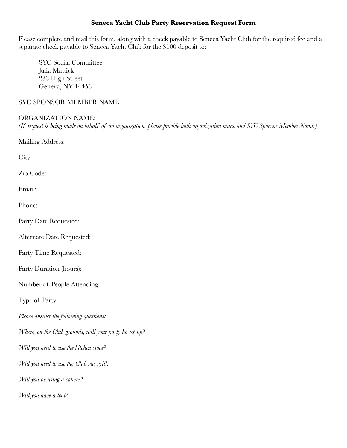#### **Seneca Yacht Club Party Reservation Request Form**

Please complete and mail this form, along with a check payable to Seneca Yacht Club for the required fee and a separate check payable to Seneca Yacht Club for the \$100 deposit to:

SYC Social Committee Julia Mattick 233 High Street Geneva, NY 14456

#### SYC SPONSOR MEMBER NAME:

#### ORGANIZATION NAME:

*(If request is being made on behalf of an organization, please provide both organization name and SYC Sponsor Member Name.)*

Mailing Address:

City:

Zip Code:

Email:

Phone:

Party Date Requested:

Alternate Date Requested:

Party Time Requested:

Party Duration (hours):

Number of People Attending:

Type of Party:

*Please answer the following questions:*

*Where, on the Club grounds, will your party be set-up?*

*Will you need to use the kitchen stove?*

*Will you need to use the Club gas grill?*

*Will you be using a caterer?*

*Will you have a tent?*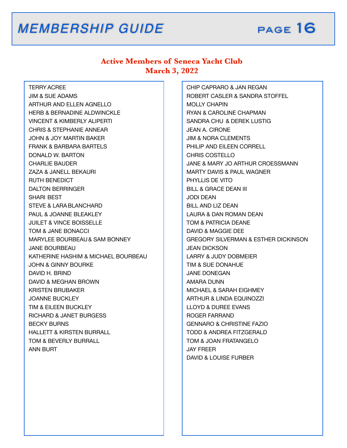

#### **Active Members of Seneca Yacht Club March 3, 2022**

 TERRYACREE JIM & SUE ADAMS ARTHUR AND ELLEN AGNELLO HERB & BERNADINE ALDWINCKLE VINCENT & KIMBERLY ALIPERTI CHRIS & STEPHANIE ANNEAR JOHN & JOY MARTIN BAKER FRANK & BARBARA BARTELS DONALD W. BARTON CHARLIE BAUDER ZAZA & JANELL BEKAURI RUTH BENEDICT DALTON BERRINGER SHARI BEST STEVE & LARABLANCHARD PAUL & JOANNE BLEAKLEY JUILET & VINCE BOISSELLE TOM & JANE BONACCI MARYLEE BOURBEAU& SAM BONNEY JANE BOURBEAU KATHERINE HASHIM & MICHAEL BOURBEAU JOHN & GINNY BOURKE DAVID H. BRIND DAVID & MEGHAN BROWN KRISTEN BRUBAKER JOANNE BUCKLEY TIM & EILEEN BUCKLEY RICHARD & JANET BURGESS BECKY BURNS HALLETT & KIRSTEN BURRALL TOM & BEVERLY BURRALL ANN BURT

 CHIP CAPRARO & JAN REGAN ROBERT CASLER & SANDRA STOFFEL MOLLY CHAPIN RYAN & CAROLINE CHAPMAN SANDRA CHU & DEREK LUSTIG JEAN A. CIRONE JIM & NORA CLEMENTS PHILIP AND EILEEN CORRELL CHRIS COSTELLO JANE & MARY JO ARTHUR CROESSMANN MARTY DAVIS & PAUL WAGNER PHYLLIS DE VITO BILL & GRACE DEAN III JODI DEAN BILL AND LIZ DEAN LAURA & DAN ROMAN DEAN TOM & PATRICIA DEANE DAVID & MAGGIE DEE GREGORY SILVERMAN & ESTHER DICKINSON JEAN DICKSON LARRY & JUDY DOBMEIER TIM & SUE DONAHUE JANE DONEGAN AMARA DUNN MICHAEL & SARAH EIGHMEY ARTHUR & LINDA EQUINOZZI LLOYD & DUREE EVANS ROGER FARRAND GENNARO & CHRISTINE FAZIO TODD & ANDREA FITZGERALD TOM & JOAN FRATANGELO JAY FREER DAVID & LOUISE FURBER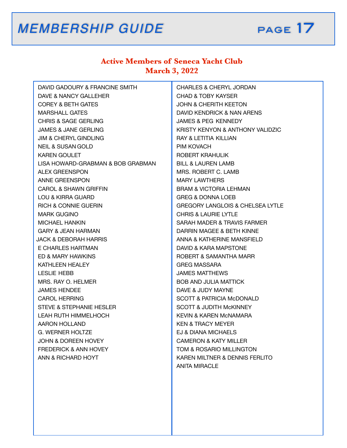

### **Active Members of Seneca Yacht Club March 3, 2022**

| DAVID GADOURY & FRANCINE SMITH    | <b>CHARLES &amp; CHERYL JORDAN</b>          |
|-----------------------------------|---------------------------------------------|
| DAVE & NANCY GALLEHER             | <b>CHAD &amp; TOBY KAYSER</b>               |
| <b>COREY &amp; BETH GATES</b>     | <b>JOHN &amp; CHERITH KEETON</b>            |
| <b>MARSHALL GATES</b>             | DAVID KENDRICK & NAN ARENS                  |
| <b>CHRIS &amp; SAGE GERLING</b>   | JAMES & PEG KENNEDY                         |
| JAMES & JANE GERLING              | KRISTY KENYON & ANTHONY VALIDZIC            |
| <b>JIM &amp; CHERYL GINDLING</b>  | RAY & LETITIA KILLIAN                       |
| <b>NEIL &amp; SUSAN GOLD</b>      | PIM KOVACH                                  |
| KAREN GOULET                      | ROBERT KRAHULIK                             |
| LISA HOWARD-GRABMAN & BOB GRABMAN | <b>BILL &amp; LAUREN LAMB</b>               |
| ALEX GREENSPON                    | MRS. ROBERT C. LAMB                         |
| ANNE GREENSPON                    | <b>MARY LAWTHERS</b>                        |
| CAROL & SHAWN GRIFFIN             | <b>BRAM &amp; VICTORIA LEHMAN</b>           |
| LOU & KIRRA GUARD                 | <b>GREG &amp; DONNA LOEB</b>                |
| <b>RICH &amp; CONNIE GUERIN</b>   | <b>GREGORY LANGLOIS &amp; CHELSEA LYTLE</b> |
| <b>MARK GUGINO</b>                | <b>CHRIS &amp; LAURIE LYTLE</b>             |
| <b>MICHAEL HANKIN</b>             | SARAH MADER & TRAVIS FARMER                 |
| <b>GARY &amp; JEAN HARMAN</b>     | DARRIN MAGEE & BETH KINNE                   |
| JACK & DEBORAH HARRIS             | ANNA & KATHERINE MANSFIELD                  |
| E CHARLES HARTMAN                 | DAVID & KARA MAPSTONE                       |
| ED & MARY HAWKINS                 | ROBERT & SAMANTHA MARR                      |
| KATHLEEN HEALEY                   | <b>GREG MASSARA</b>                         |
| LESLIE HEBB                       | <b>JAMES MATTHEWS</b>                       |
| MRS. RAY O. HELMER                | <b>BOB AND JULIA MATTICK</b>                |
| <b>JAMES HENDEE</b>               | DAVE & JUDY MAYNE                           |
| CAROL HERRING                     | <b>SCOTT &amp; PATRICIA McDONALD</b>        |
| STEVE & STEPHANIE HESLER          | <b>SCOTT &amp; JUDITH MCKINNEY</b>          |
| LEAH RUTH HIMMELHOCH              | KEVIN & KAREN MCNAMARA                      |
| AARON HOLLAND                     | KEN & TRACY MEYER                           |
| G. WERNER HOLTZE                  | EJ & DIANA MICHAELS                         |
| <b>JOHN &amp; DOREEN HOVEY</b>    | <b>CAMERON &amp; KATY MILLER</b>            |
| FREDERICK & ANN HOVEY             | TOM & ROSARIO MILLINGTON                    |
| ANN & RICHARD HOYT                | KAREN MILTNER & DENNIS FERLITO              |
|                                   | <b>ANITA MIRACLE</b>                        |
|                                   |                                             |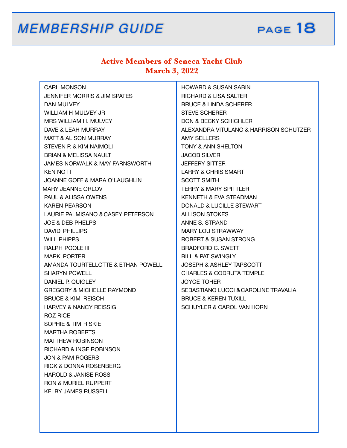### **Active Members of Seneca Yacht Club March 3, 2022**

| <b>CARL MONSON</b>                        | <b>HOWARD &amp; SUSAN SABIN</b>        |
|-------------------------------------------|----------------------------------------|
| JENNIFER MORRIS & JIM SPATES              | <b>RICHARD &amp; LISA SALTER</b>       |
| DAN MULVEY                                | <b>BRUCE &amp; LINDA SCHERER</b>       |
| WILLIAM H MULVEY JR                       | <b>STEVE SCHERER</b>                   |
| MRS WILLIAM H. MULVEY                     | <b>DON &amp; BECKY SCHICHLER</b>       |
| DAVE & LEAH MURRAY                        | ALEXANDRA VITULANO & HARRISON SCHUTZER |
| <b>MATT &amp; ALISON MURRAY</b>           | <b>AMY SELLERS</b>                     |
| STEVEN P. & KIM NAIMOLI                   | <b>TONY &amp; ANN SHELTON</b>          |
| <b>BRIAN &amp; MELISSA NAULT</b>          | <b>JACOB SILVER</b>                    |
| <b>JAMES NORWALK &amp; MAY FARNSWORTH</b> | <b>JEFFERY SITTER</b>                  |
| KEN NOTT                                  | <b>LARRY &amp; CHRIS SMART</b>         |
| <b>JOANNE GOFF &amp; MARA O'LAUGHLIN</b>  | <b>SCOTT SMITH</b>                     |
| <b>MARY JEANNE ORLOV</b>                  | <b>TERRY &amp; MARY SPITTLER</b>       |
| PAUL & ALISSA OWENS                       | KENNETH & EVA STEADMAN                 |
| <b>KAREN PEARSON</b>                      | DONALD & LUCILLE STEWART               |
| LAURIE PALMISANO & CASEY PETERSON         | <b>ALLISON STOKES</b>                  |
| <b>JOE &amp; DEB PHELPS</b>               | ANNE S. STRAND                         |
| <b>DAVID PHILLIPS</b>                     | MARY LOU STRAWWAY                      |
| <b>WILL PHIPPS</b>                        | <b>ROBERT &amp; SUSAN STRONG</b>       |
| <b>RALPH POOLE III</b>                    | <b>BRADFORD C. SWETT</b>               |
| <b>MARK PORTER</b>                        | <b>BILL &amp; PAT SWINGLY</b>          |
| AMANDA TOURTELLOTTE & ETHAN POWELL        | <b>JOSEPH &amp; ASHLEY TAPSCOTT</b>    |
| <b>SHARYN POWELL</b>                      | <b>CHARLES &amp; CODRUTA TEMPLE</b>    |
| DANIEL P. QUIGLEY                         | <b>JOYCE TOHER</b>                     |
| <b>GREGORY &amp; MICHELLE RAYMOND</b>     | SEBASTIANO LUCCI & CAROLINE TRAVALIA   |
| <b>BRUCE &amp; KIM REISCH</b>             | <b>BRUCE &amp; KEREN TUXILL</b>        |
| <b>HARVEY &amp; NANCY REISSIG</b>         | SCHUYLER & CAROL VAN HORN              |
| ROZ RICE                                  |                                        |
| SOPHIE & TIM RISKIE                       |                                        |
| <b>MARTHA ROBERTS</b>                     |                                        |
| <b>MATTHEW ROBINSON</b>                   |                                        |
| <b>RICHARD &amp; INGE ROBINSON</b>        |                                        |
| <b>JON &amp; PAM ROGERS</b>               |                                        |
| <b>RICK &amp; DONNA ROSENBERG</b>         |                                        |
| <b>HAROLD &amp; JANISE ROSS</b>           |                                        |
| <b>RON &amp; MURIEL RUPPERT</b>           |                                        |
| <b>KELBY JAMES RUSSELL</b>                |                                        |
|                                           |                                        |